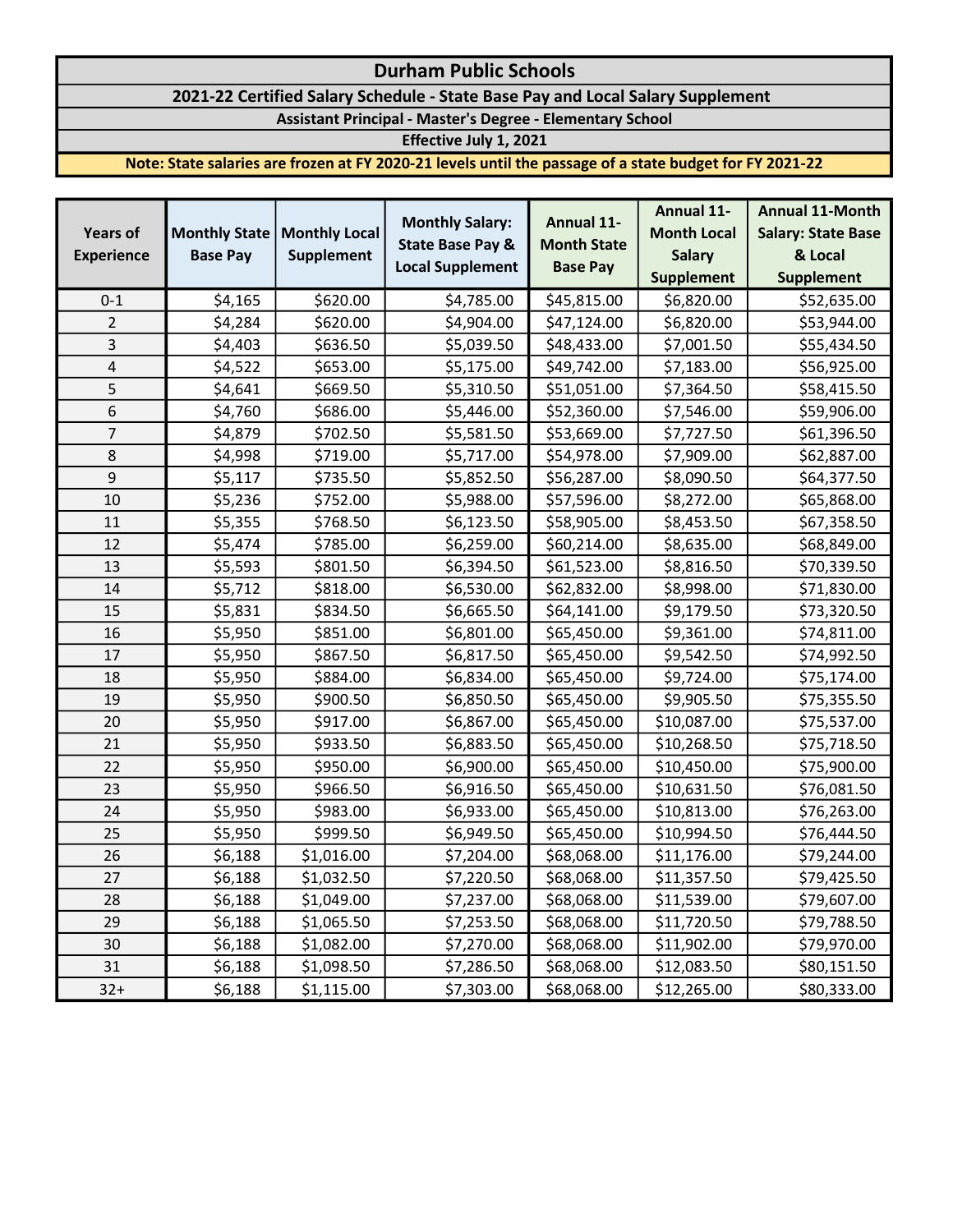#### 2021-22 Certified Salary Schedule - State Base Pay and Local Salary Supplement

Assistant Principal - Master's Degree - Elementary School

Effective July 1, 2021

| <b>Years of</b><br><b>Experience</b> |                                         | <b>Monthly Local</b><br>Supplement | <b>Monthly Salary:</b><br><b>State Base Pay &amp;</b><br><b>Local Supplement</b> | Annual 11-<br><b>Month State</b><br><b>Base Pay</b> | <b>Annual 11-</b>  | <b>Annual 11-Month</b>    |
|--------------------------------------|-----------------------------------------|------------------------------------|----------------------------------------------------------------------------------|-----------------------------------------------------|--------------------|---------------------------|
|                                      | <b>Monthly State</b><br><b>Base Pay</b> |                                    |                                                                                  |                                                     | <b>Month Local</b> | <b>Salary: State Base</b> |
|                                      |                                         |                                    |                                                                                  |                                                     | <b>Salary</b>      | & Local                   |
|                                      |                                         |                                    |                                                                                  |                                                     | <b>Supplement</b>  | <b>Supplement</b>         |
| $0 - 1$                              | \$4,165                                 | \$620.00                           | \$4,785.00                                                                       | \$45,815.00                                         | \$6,820.00         | \$52,635.00               |
| $\overline{2}$                       | \$4,284                                 | \$620.00                           | \$4,904.00                                                                       | \$47,124.00                                         | \$6,820.00         | \$53,944.00               |
| 3                                    | \$4,403                                 | \$636.50                           | \$5,039.50                                                                       | \$48,433.00                                         | \$7,001.50         | \$55,434.50               |
| 4                                    | \$4,522                                 | \$653.00                           | \$5,175.00                                                                       | \$49,742.00                                         | \$7,183.00         | \$56,925.00               |
| 5                                    | \$4,641                                 | \$669.50                           | \$5,310.50                                                                       | \$51,051.00                                         | \$7,364.50         | \$58,415.50               |
| 6                                    | \$4,760                                 | \$686.00                           | \$5,446.00                                                                       | \$52,360.00                                         | \$7,546.00         | \$59,906.00               |
| $\overline{7}$                       | \$4,879                                 | \$702.50                           | \$5,581.50                                                                       | \$53,669.00                                         | \$7,727.50         | \$61,396.50               |
| 8                                    | \$4,998                                 | \$719.00                           | \$5,717.00                                                                       | \$54,978.00                                         | \$7,909.00         | \$62,887.00               |
| 9                                    | \$5,117                                 | \$735.50                           | \$5,852.50                                                                       | \$56,287.00                                         | \$8,090.50         | \$64,377.50               |
| 10                                   | \$5,236                                 | \$752.00                           | \$5,988.00                                                                       | \$57,596.00                                         | \$8,272.00         | \$65,868.00               |
| 11                                   | \$5,355                                 | \$768.50                           | \$6,123.50                                                                       | \$58,905.00                                         | \$8,453.50         | \$67,358.50               |
| 12                                   | \$5,474                                 | \$785.00                           | \$6,259.00                                                                       | \$60,214.00                                         | \$8,635.00         | \$68,849.00               |
| 13                                   | \$5,593                                 | \$801.50                           | \$6,394.50                                                                       | \$61,523.00                                         | \$8,816.50         | \$70,339.50               |
| 14                                   | \$5,712                                 | \$818.00                           | \$6,530.00                                                                       | \$62,832.00                                         | \$8,998.00         | \$71,830.00               |
| 15                                   | \$5,831                                 | \$834.50                           | \$6,665.50                                                                       | \$64,141.00                                         | \$9,179.50         | \$73,320.50               |
| 16                                   | \$5,950                                 | \$851.00                           | \$6,801.00                                                                       | \$65,450.00                                         | \$9,361.00         | \$74,811.00               |
| 17                                   | \$5,950                                 | \$867.50                           | \$6,817.50                                                                       | \$65,450.00                                         | \$9,542.50         | \$74,992.50               |
| 18                                   | \$5,950                                 | \$884.00                           | \$6,834.00                                                                       | \$65,450.00                                         | \$9,724.00         | \$75,174.00               |
| 19                                   | \$5,950                                 | \$900.50                           | \$6,850.50                                                                       | \$65,450.00                                         | \$9,905.50         | \$75,355.50               |
| 20                                   | \$5,950                                 | \$917.00                           | \$6,867.00                                                                       | \$65,450.00                                         | \$10,087.00        | \$75,537.00               |
| 21                                   | \$5,950                                 | \$933.50                           | \$6,883.50                                                                       | \$65,450.00                                         | \$10,268.50        | \$75,718.50               |
| 22                                   | \$5,950                                 | \$950.00                           | \$6,900.00                                                                       | \$65,450.00                                         | \$10,450.00        | \$75,900.00               |
| 23                                   | \$5,950                                 | \$966.50                           | \$6,916.50                                                                       | \$65,450.00                                         | \$10,631.50        | \$76,081.50               |
| 24                                   | \$5,950                                 | \$983.00                           | \$6,933.00                                                                       | \$65,450.00                                         | \$10,813.00        | \$76,263.00               |
| 25                                   | \$5,950                                 | \$999.50                           | \$6,949.50                                                                       | \$65,450.00                                         | \$10,994.50        | \$76,444.50               |
| 26                                   | \$6,188                                 | \$1,016.00                         | \$7,204.00                                                                       | \$68,068.00                                         | \$11,176.00        | \$79,244.00               |
| 27                                   | \$6,188                                 | \$1,032.50                         | \$7,220.50                                                                       | \$68,068.00                                         | \$11,357.50        | \$79,425.50               |
| 28                                   | \$6,188                                 | \$1,049.00                         | \$7,237.00                                                                       | \$68,068.00                                         | \$11,539.00        | \$79,607.00               |
| 29                                   | \$6,188                                 | \$1,065.50                         | \$7,253.50                                                                       | \$68,068.00                                         | \$11,720.50        | \$79,788.50               |
| 30                                   | \$6,188                                 | \$1,082.00                         | \$7,270.00                                                                       | \$68,068.00                                         | \$11,902.00        | \$79,970.00               |
| 31                                   | \$6,188                                 | \$1,098.50                         | \$7,286.50                                                                       | \$68,068.00                                         | \$12,083.50        | \$80,151.50               |
| $32+$                                | \$6,188                                 | \$1,115.00                         | \$7,303.00                                                                       | \$68,068.00                                         | \$12,265.00        | \$80,333.00               |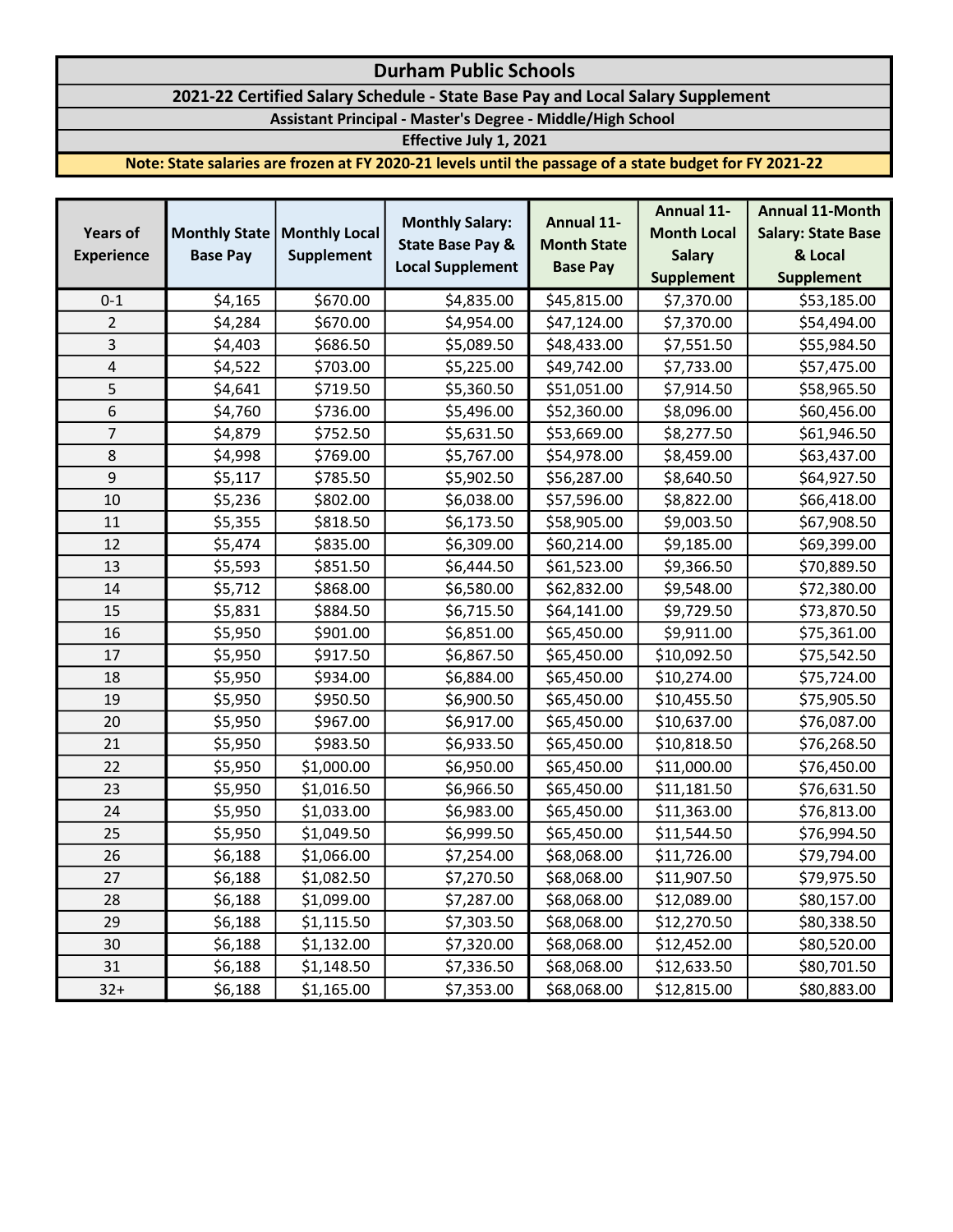#### 2021-22 Certified Salary Schedule - State Base Pay and Local Salary Supplement

Assistant Principal - Master's Degree - Middle/High School

Effective July 1, 2021

| <b>Years of</b>   | <b>Monthly State</b> |                      | <b>Monthly Salary:</b><br><b>State Base Pay &amp;</b> | <b>Annual 11-</b><br><b>Month State</b> | Annual 11-         | <b>Annual 11-Month</b>    |
|-------------------|----------------------|----------------------|-------------------------------------------------------|-----------------------------------------|--------------------|---------------------------|
|                   |                      | <b>Monthly Local</b> |                                                       |                                         | <b>Month Local</b> | <b>Salary: State Base</b> |
| <b>Experience</b> | <b>Base Pay</b>      | <b>Supplement</b>    | <b>Local Supplement</b>                               | <b>Base Pay</b>                         | <b>Salary</b>      | & Local                   |
|                   |                      |                      |                                                       |                                         | <b>Supplement</b>  | <b>Supplement</b>         |
| $0 - 1$           | \$4,165              | \$670.00             | \$4,835.00                                            | \$45,815.00                             | \$7,370.00         | \$53,185.00               |
| $\overline{2}$    | \$4,284              | \$670.00             | \$4,954.00                                            | \$47,124.00                             | \$7,370.00         | \$54,494.00               |
| 3                 | \$4,403              | \$686.50             | \$5,089.50                                            | \$48,433.00                             | \$7,551.50         | \$55,984.50               |
| $\overline{4}$    | \$4,522              | \$703.00             | \$5,225.00                                            | \$49,742.00                             | \$7,733.00         | \$57,475.00               |
| 5                 | \$4,641              | \$719.50             | \$5,360.50                                            | \$51,051.00                             | \$7,914.50         | \$58,965.50               |
| $\boldsymbol{6}$  | \$4,760              | \$736.00             | \$5,496.00                                            | \$52,360.00                             | \$8,096.00         | \$60,456.00               |
| $\overline{7}$    | \$4,879              | \$752.50             | \$5,631.50                                            | \$53,669.00                             | \$8,277.50         | \$61,946.50               |
| 8                 | \$4,998              | \$769.00             | \$5,767.00                                            | \$54,978.00                             | \$8,459.00         | \$63,437.00               |
| 9                 | \$5,117              | \$785.50             | \$5,902.50                                            | \$56,287.00                             | \$8,640.50         | \$64,927.50               |
| 10                | \$5,236              | \$802.00             | \$6,038.00                                            | \$57,596.00                             | \$8,822.00         | \$66,418.00               |
| 11                | \$5,355              | \$818.50             | \$6,173.50                                            | \$58,905.00                             | \$9,003.50         | \$67,908.50               |
| 12                | \$5,474              | \$835.00             | \$6,309.00                                            | \$60,214.00                             | \$9,185.00         | \$69,399.00               |
| 13                | \$5,593              | \$851.50             | \$6,444.50                                            | \$61,523.00                             | \$9,366.50         | \$70,889.50               |
| 14                | \$5,712              | \$868.00             | \$6,580.00                                            | \$62,832.00                             | \$9,548.00         | \$72,380.00               |
| 15                | \$5,831              | \$884.50             | \$6,715.50                                            | \$64,141.00                             | \$9,729.50         | \$73,870.50               |
| 16                | \$5,950              | \$901.00             | \$6,851.00                                            | \$65,450.00                             | \$9,911.00         | \$75,361.00               |
| 17                | \$5,950              | \$917.50             | \$6,867.50                                            | \$65,450.00                             | \$10,092.50        | \$75,542.50               |
| 18                | \$5,950              | \$934.00             | \$6,884.00                                            | \$65,450.00                             | \$10,274.00        | \$75,724.00               |
| 19                | \$5,950              | \$950.50             | \$6,900.50                                            | \$65,450.00                             | \$10,455.50        | \$75,905.50               |
| 20                | \$5,950              | \$967.00             | \$6,917.00                                            | \$65,450.00                             | \$10,637.00        | \$76,087.00               |
| 21                | \$5,950              | \$983.50             | \$6,933.50                                            | \$65,450.00                             | \$10,818.50        | \$76,268.50               |
| 22                | \$5,950              | \$1,000.00           | \$6,950.00                                            | \$65,450.00                             | \$11,000.00        | \$76,450.00               |
| 23                | \$5,950              | \$1,016.50           | \$6,966.50                                            | \$65,450.00                             | \$11,181.50        | \$76,631.50               |
| 24                | \$5,950              | \$1,033.00           | \$6,983.00                                            | \$65,450.00                             | \$11,363.00        | \$76,813.00               |
| 25                | \$5,950              | \$1,049.50           | \$6,999.50                                            | \$65,450.00                             | \$11,544.50        | \$76,994.50               |
| 26                | \$6,188              | \$1,066.00           | \$7,254.00                                            | \$68,068.00                             | \$11,726.00        | \$79,794.00               |
| 27                | \$6,188              | \$1,082.50           | \$7,270.50                                            | \$68,068.00                             | \$11,907.50        | \$79,975.50               |
| 28                | \$6,188              | \$1,099.00           | \$7,287.00                                            | \$68,068.00                             | \$12,089.00        | \$80,157.00               |
| 29                | \$6,188              | \$1,115.50           | \$7,303.50                                            | \$68,068.00                             | \$12,270.50        | \$80,338.50               |
| 30                | \$6,188              | \$1,132.00           | \$7,320.00                                            | \$68,068.00                             | \$12,452.00        | \$80,520.00               |
| 31                | \$6,188              | \$1,148.50           | \$7,336.50                                            | \$68,068.00                             | \$12,633.50        | \$80,701.50               |
| $32+$             | \$6,188              | \$1,165.00           | \$7,353.00                                            | \$68,068.00                             | \$12,815.00        | \$80,883.00               |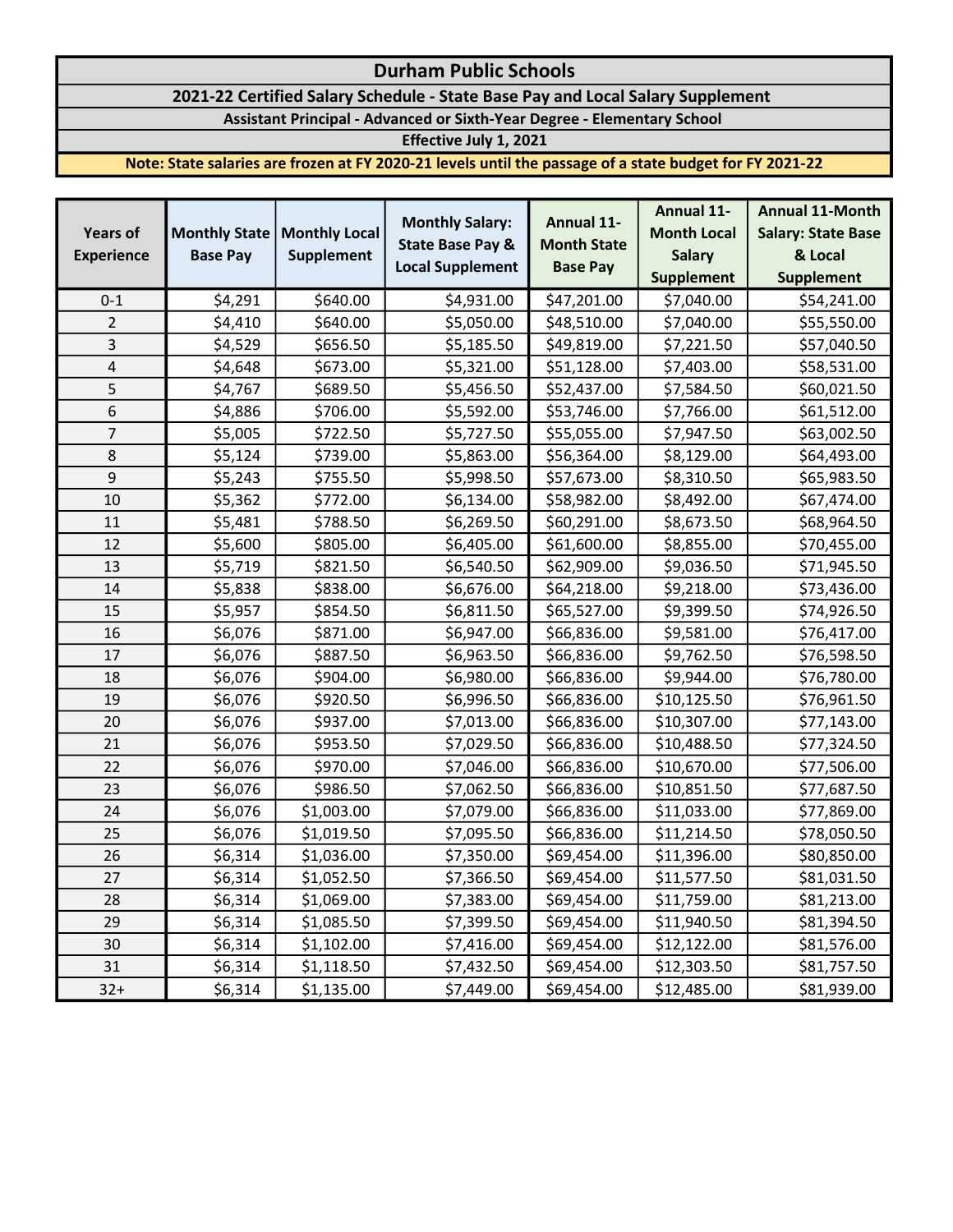2021-22 Certified Salary Schedule - State Base Pay and Local Salary Supplement

Assistant Principal - Advanced or Sixth-Year Degree - Elementary School

Effective July 1, 2021

| <b>Years of</b>   | Monthly State   |                      | <b>Monthly Salary:</b><br><b>State Base Pay &amp;</b> | <b>Annual 11-</b><br><b>Month State</b> | Annual 11-         | <b>Annual 11-Month</b>    |
|-------------------|-----------------|----------------------|-------------------------------------------------------|-----------------------------------------|--------------------|---------------------------|
|                   |                 | <b>Monthly Local</b> |                                                       |                                         | <b>Month Local</b> | <b>Salary: State Base</b> |
| <b>Experience</b> | <b>Base Pay</b> | <b>Supplement</b>    | <b>Local Supplement</b>                               | <b>Base Pay</b>                         | <b>Salary</b>      | & Local                   |
|                   |                 |                      |                                                       |                                         | <b>Supplement</b>  | <b>Supplement</b>         |
| $0 - 1$           | \$4,291         | \$640.00             | \$4,931.00                                            | \$47,201.00                             | \$7,040.00         | \$54,241.00               |
| $\overline{2}$    | \$4,410         | \$640.00             | \$5,050.00                                            | \$48,510.00                             | \$7,040.00         | \$55,550.00               |
| 3                 | \$4,529         | \$656.50             | \$5,185.50                                            | \$49,819.00                             | \$7,221.50         | \$57,040.50               |
| $\overline{4}$    | \$4,648         | \$673.00             | \$5,321.00                                            | \$51,128.00                             | \$7,403.00         | \$58,531.00               |
| 5                 | \$4,767         | \$689.50             | \$5,456.50                                            | \$52,437.00                             | \$7,584.50         | \$60,021.50               |
| $\boldsymbol{6}$  | \$4,886         | \$706.00             | \$5,592.00                                            | \$53,746.00                             | \$7,766.00         | \$61,512.00               |
| $\overline{7}$    | \$5,005         | \$722.50             | \$5,727.50                                            | \$55,055.00                             | \$7,947.50         | \$63,002.50               |
| 8                 | \$5,124         | \$739.00             | \$5,863.00                                            | \$56,364.00                             | \$8,129.00         | \$64,493.00               |
| 9                 | \$5,243         | \$755.50             | \$5,998.50                                            | \$57,673.00                             | \$8,310.50         | \$65,983.50               |
| 10                | \$5,362         | \$772.00             | \$6,134.00                                            | \$58,982.00                             | \$8,492.00         | \$67,474.00               |
| 11                | \$5,481         | \$788.50             | \$6,269.50                                            | \$60,291.00                             | \$8,673.50         | \$68,964.50               |
| 12                | \$5,600         | \$805.00             | \$6,405.00                                            | \$61,600.00                             | \$8,855.00         | \$70,455.00               |
| 13                | \$5,719         | \$821.50             | \$6,540.50                                            | \$62,909.00                             | \$9,036.50         | \$71,945.50               |
| 14                | \$5,838         | \$838.00             | \$6,676.00                                            | \$64,218.00                             | \$9,218.00         | \$73,436.00               |
| 15                | \$5,957         | \$854.50             | \$6,811.50                                            | \$65,527.00                             | \$9,399.50         | \$74,926.50               |
| 16                | \$6,076         | \$871.00             | \$6,947.00                                            | \$66,836.00                             | \$9,581.00         | \$76,417.00               |
| 17                | \$6,076         | \$887.50             | \$6,963.50                                            | \$66,836.00                             | \$9,762.50         | \$76,598.50               |
| 18                | \$6,076         | \$904.00             | \$6,980.00                                            | \$66,836.00                             | \$9,944.00         | \$76,780.00               |
| 19                | \$6,076         | \$920.50             | \$6,996.50                                            | \$66,836.00                             | \$10,125.50        | \$76,961.50               |
| 20                | \$6,076         | \$937.00             | \$7,013.00                                            | \$66,836.00                             | \$10,307.00        | \$77,143.00               |
| 21                | \$6,076         | \$953.50             | \$7,029.50                                            | \$66,836.00                             | \$10,488.50        | \$77,324.50               |
| 22                | \$6,076         | \$970.00             | \$7,046.00                                            | \$66,836.00                             | \$10,670.00        | \$77,506.00               |
| 23                | \$6,076         | \$986.50             | \$7,062.50                                            | \$66,836.00                             | \$10,851.50        | \$77,687.50               |
| 24                | \$6,076         | \$1,003.00           | \$7,079.00                                            | \$66,836.00                             | \$11,033.00        | \$77,869.00               |
| 25                | \$6,076         | \$1,019.50           | \$7,095.50                                            | \$66,836.00                             | \$11,214.50        | \$78,050.50               |
| 26                | \$6,314         | \$1,036.00           | \$7,350.00                                            | \$69,454.00                             | \$11,396.00        | \$80,850.00               |
| 27                | \$6,314         | \$1,052.50           | \$7,366.50                                            | \$69,454.00                             | \$11,577.50        | \$81,031.50               |
| 28                | \$6,314         | \$1,069.00           | \$7,383.00                                            | \$69,454.00                             | \$11,759.00        | \$81,213.00               |
| 29                | \$6,314         | \$1,085.50           | \$7,399.50                                            | \$69,454.00                             | \$11,940.50        | \$81,394.50               |
| 30                | \$6,314         | \$1,102.00           | \$7,416.00                                            | \$69,454.00                             | \$12,122.00        | \$81,576.00               |
| 31                | \$6,314         | \$1,118.50           | \$7,432.50                                            | \$69,454.00                             | \$12,303.50        | \$81,757.50               |
| $32+$             | \$6,314         | \$1,135.00           | \$7,449.00                                            | \$69,454.00                             | \$12,485.00        | \$81,939.00               |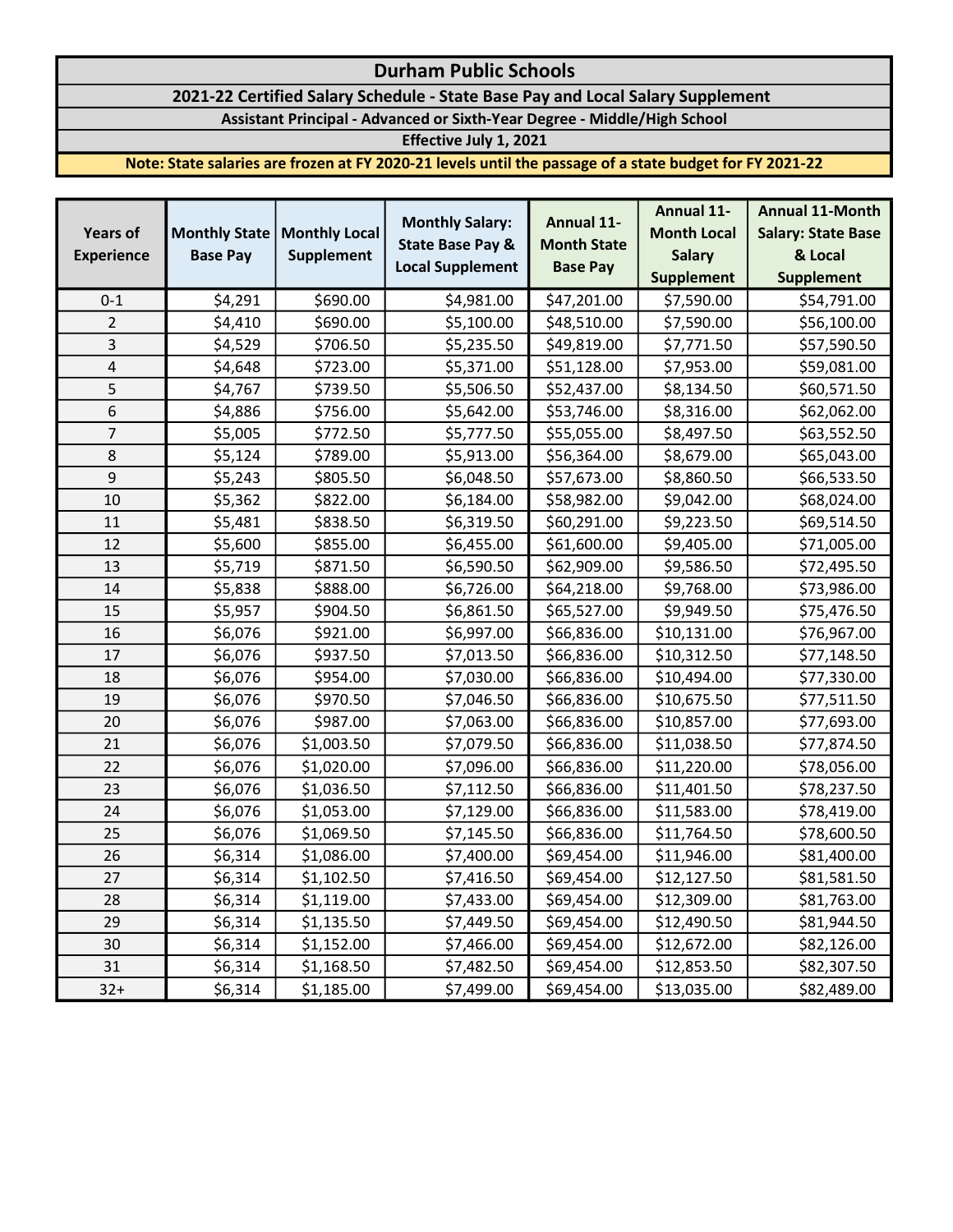2021-22 Certified Salary Schedule - State Base Pay and Local Salary Supplement

Assistant Principal - Advanced or Sixth-Year Degree - Middle/High School

Effective July 1, 2021

| <b>Years of</b>         |                      | <b>Monthly Local</b> | <b>Monthly Salary:</b><br><b>State Base Pay &amp;</b> | <b>Annual 11-</b><br><b>Month State</b> | Annual 11-         | <b>Annual 11-Month</b>    |
|-------------------------|----------------------|----------------------|-------------------------------------------------------|-----------------------------------------|--------------------|---------------------------|
|                         | <b>Monthly State</b> |                      |                                                       |                                         | <b>Month Local</b> | <b>Salary: State Base</b> |
| <b>Experience</b>       | <b>Base Pay</b>      | Supplement           | <b>Local Supplement</b>                               | <b>Base Pay</b>                         | <b>Salary</b>      | & Local                   |
|                         |                      |                      |                                                       |                                         | <b>Supplement</b>  | <b>Supplement</b>         |
| $0 - 1$                 | \$4,291              | \$690.00             | \$4,981.00                                            | \$47,201.00                             | \$7,590.00         | \$54,791.00               |
| $\overline{2}$          | \$4,410              | \$690.00             | \$5,100.00                                            | \$48,510.00                             | \$7,590.00         | \$56,100.00               |
| $\overline{\mathbf{3}}$ | \$4,529              | \$706.50             | \$5,235.50                                            | \$49,819.00                             | \$7,771.50         | \$57,590.50               |
| 4                       | \$4,648              | \$723.00             | \$5,371.00                                            | \$51,128.00                             | \$7,953.00         | \$59,081.00               |
| 5                       | \$4,767              | \$739.50             | \$5,506.50                                            | \$52,437.00                             | \$8,134.50         | \$60,571.50               |
| 6                       | \$4,886              | \$756.00             | \$5,642.00                                            | \$53,746.00                             | \$8,316.00         | \$62,062.00               |
| $\overline{7}$          | \$5,005              | \$772.50             | \$5,777.50                                            | \$55,055.00                             | \$8,497.50         | \$63,552.50               |
| 8                       | \$5,124              | \$789.00             | \$5,913.00                                            | \$56,364.00                             | \$8,679.00         | \$65,043.00               |
| 9                       | \$5,243              | \$805.50             | \$6,048.50                                            | \$57,673.00                             | \$8,860.50         | \$66,533.50               |
| 10                      | \$5,362              | \$822.00             | \$6,184.00                                            | \$58,982.00                             | \$9,042.00         | \$68,024.00               |
| 11                      | \$5,481              | \$838.50             | \$6,319.50                                            | \$60,291.00                             | \$9,223.50         | \$69,514.50               |
| 12                      | \$5,600              | \$855.00             | \$6,455.00                                            | \$61,600.00                             | \$9,405.00         | \$71,005.00               |
| 13                      | \$5,719              | \$871.50             | \$6,590.50                                            | \$62,909.00                             | \$9,586.50         | \$72,495.50               |
| 14                      | \$5,838              | \$888.00             | \$6,726.00                                            | \$64,218.00                             | \$9,768.00         | \$73,986.00               |
| 15                      | \$5,957              | \$904.50             | \$6,861.50                                            | \$65,527.00                             | \$9,949.50         | \$75,476.50               |
| 16                      | \$6,076              | \$921.00             | \$6,997.00                                            | \$66,836.00                             | \$10,131.00        | \$76,967.00               |
| 17                      | \$6,076              | \$937.50             | \$7,013.50                                            | \$66,836.00                             | \$10,312.50        | \$77,148.50               |
| 18                      | \$6,076              | \$954.00             | \$7,030.00                                            | \$66,836.00                             | \$10,494.00        | \$77,330.00               |
| 19                      | \$6,076              | \$970.50             | \$7,046.50                                            | \$66,836.00                             | \$10,675.50        | \$77,511.50               |
| 20                      | \$6,076              | \$987.00             | \$7,063.00                                            | \$66,836.00                             | \$10,857.00        | \$77,693.00               |
| 21                      | \$6,076              | \$1,003.50           | \$7,079.50                                            | \$66,836.00                             | \$11,038.50        | \$77,874.50               |
| 22                      | \$6,076              | \$1,020.00           | \$7,096.00                                            | \$66,836.00                             | \$11,220.00        | \$78,056.00               |
| 23                      | \$6,076              | \$1,036.50           | \$7,112.50                                            | \$66,836.00                             | \$11,401.50        | \$78,237.50               |
| 24                      | \$6,076              | \$1,053.00           | \$7,129.00                                            | \$66,836.00                             | \$11,583.00        | \$78,419.00               |
| 25                      | \$6,076              | \$1,069.50           | \$7,145.50                                            | \$66,836.00                             | \$11,764.50        | \$78,600.50               |
| 26                      | \$6,314              | \$1,086.00           | \$7,400.00                                            | \$69,454.00                             | \$11,946.00        | \$81,400.00               |
| 27                      | \$6,314              | \$1,102.50           | \$7,416.50                                            | \$69,454.00                             | \$12,127.50        | \$81,581.50               |
| 28                      | \$6,314              | \$1,119.00           | \$7,433.00                                            | \$69,454.00                             | \$12,309.00        | \$81,763.00               |
| 29                      | \$6,314              | \$1,135.50           | \$7,449.50                                            | \$69,454.00                             | \$12,490.50        | \$81,944.50               |
| 30                      | \$6,314              | \$1,152.00           | \$7,466.00                                            | \$69,454.00                             | \$12,672.00        | \$82,126.00               |
| 31                      | \$6,314              | \$1,168.50           | \$7,482.50                                            | \$69,454.00                             | \$12,853.50        | \$82,307.50               |
| $32+$                   | \$6,314              | \$1,185.00           | \$7,499.00                                            | \$69,454.00                             | \$13,035.00        | \$82,489.00               |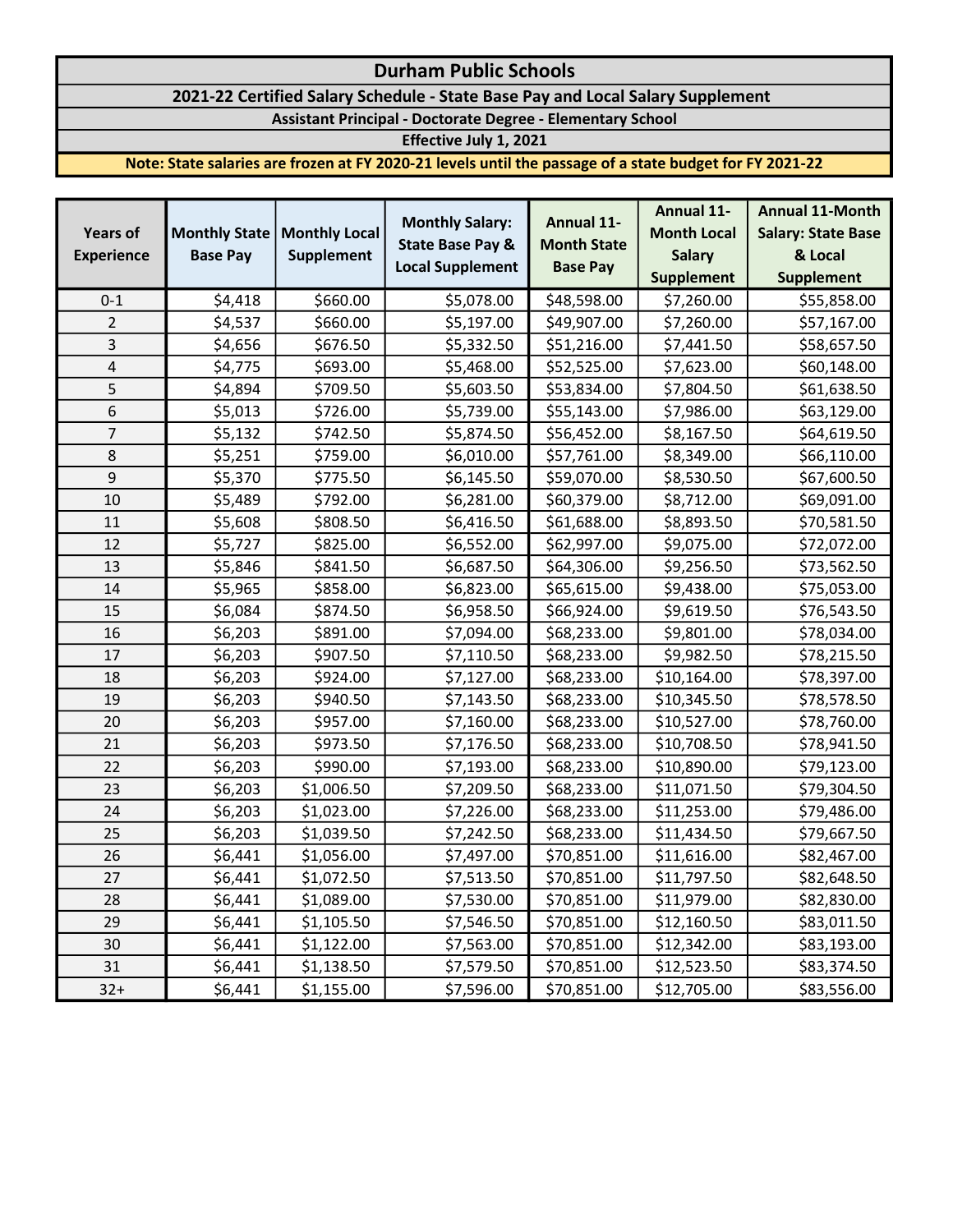#### 2021-22 Certified Salary Schedule - State Base Pay and Local Salary Supplement

Assistant Principal - Doctorate Degree - Elementary School

Effective July 1, 2021

| <b>Years of</b>   | <b>Monthly State</b><br><b>Monthly Local</b> | <b>Monthly Salary:</b> | <b>Annual 11-</b>           | Annual 11-         | <b>Annual 11-Month</b> |                           |
|-------------------|----------------------------------------------|------------------------|-----------------------------|--------------------|------------------------|---------------------------|
|                   |                                              |                        | <b>State Base Pay &amp;</b> | <b>Month State</b> | <b>Month Local</b>     | <b>Salary: State Base</b> |
| <b>Experience</b> | <b>Base Pay</b>                              | <b>Supplement</b>      | <b>Local Supplement</b>     | <b>Base Pay</b>    | <b>Salary</b>          | & Local                   |
|                   |                                              |                        |                             |                    | <b>Supplement</b>      | <b>Supplement</b>         |
| $0 - 1$           | \$4,418                                      | \$660.00               | \$5,078.00                  | \$48,598.00        | \$7,260.00             | \$55,858.00               |
| $\overline{2}$    | \$4,537                                      | \$660.00               | \$5,197.00                  | \$49,907.00        | \$7,260.00             | \$57,167.00               |
| 3                 | \$4,656                                      | \$676.50               | \$5,332.50                  | \$51,216.00        | \$7,441.50             | \$58,657.50               |
| 4                 | \$4,775                                      | \$693.00               | \$5,468.00                  | \$52,525.00        | \$7,623.00             | \$60,148.00               |
| 5                 | \$4,894                                      | \$709.50               | \$5,603.50                  | \$53,834.00        | \$7,804.50             | \$61,638.50               |
| 6                 | \$5,013                                      | \$726.00               | \$5,739.00                  | \$55,143.00        | \$7,986.00             | \$63,129.00               |
| 7                 | \$5,132                                      | \$742.50               | \$5,874.50                  | \$56,452.00        | \$8,167.50             | \$64,619.50               |
| 8                 | \$5,251                                      | \$759.00               | \$6,010.00                  | \$57,761.00        | \$8,349.00             | \$66,110.00               |
| 9                 | \$5,370                                      | \$775.50               | \$6,145.50                  | \$59,070.00        | \$8,530.50             | \$67,600.50               |
| 10                | \$5,489                                      | \$792.00               | \$6,281.00                  | \$60,379.00        | \$8,712.00             | \$69,091.00               |
| 11                | \$5,608                                      | \$808.50               | \$6,416.50                  | \$61,688.00        | \$8,893.50             | \$70,581.50               |
| 12                | \$5,727                                      | \$825.00               | \$6,552.00                  | \$62,997.00        | \$9,075.00             | \$72,072.00               |
| 13                | \$5,846                                      | \$841.50               | \$6,687.50                  | \$64,306.00        | \$9,256.50             | \$73,562.50               |
| 14                | \$5,965                                      | \$858.00               | \$6,823.00                  | \$65,615.00        | \$9,438.00             | \$75,053.00               |
| 15                | \$6,084                                      | \$874.50               | \$6,958.50                  | \$66,924.00        | \$9,619.50             | \$76,543.50               |
| 16                | \$6,203                                      | \$891.00               | \$7,094.00                  | \$68,233.00        | \$9,801.00             | \$78,034.00               |
| 17                | \$6,203                                      | \$907.50               | \$7,110.50                  | \$68,233.00        | \$9,982.50             | \$78,215.50               |
| 18                | \$6,203                                      | \$924.00               | \$7,127.00                  | \$68,233.00        | \$10,164.00            | \$78,397.00               |
| 19                | \$6,203                                      | \$940.50               | \$7,143.50                  | \$68,233.00        | \$10,345.50            | \$78,578.50               |
| 20                | \$6,203                                      | \$957.00               | \$7,160.00                  | \$68,233.00        | \$10,527.00            | \$78,760.00               |
| 21                | \$6,203                                      | \$973.50               | \$7,176.50                  | \$68,233.00        | \$10,708.50            | \$78,941.50               |
| 22                | \$6,203                                      | \$990.00               | \$7,193.00                  | \$68,233.00        | \$10,890.00            | \$79,123.00               |
| 23                | \$6,203                                      | \$1,006.50             | \$7,209.50                  | \$68,233.00        | \$11,071.50            | \$79,304.50               |
| 24                | \$6,203                                      | \$1,023.00             | \$7,226.00                  | \$68,233.00        | \$11,253.00            | \$79,486.00               |
| 25                | \$6,203                                      | \$1,039.50             | \$7,242.50                  | \$68,233.00        | \$11,434.50            | \$79,667.50               |
| 26                | \$6,441                                      | \$1,056.00             | \$7,497.00                  | \$70,851.00        | \$11,616.00            | \$82,467.00               |
| 27                | \$6,441                                      | \$1,072.50             | \$7,513.50                  | \$70,851.00        | \$11,797.50            | \$82,648.50               |
| 28                | \$6,441                                      | \$1,089.00             | \$7,530.00                  | \$70,851.00        | \$11,979.00            | \$82,830.00               |
| 29                | \$6,441                                      | \$1,105.50             | \$7,546.50                  | \$70,851.00        | \$12,160.50            | \$83,011.50               |
| 30                | \$6,441                                      | \$1,122.00             | \$7,563.00                  | \$70,851.00        | \$12,342.00            | \$83,193.00               |
| 31                | \$6,441                                      | \$1,138.50             | \$7,579.50                  | \$70,851.00        | \$12,523.50            | \$83,374.50               |
| $32+$             | \$6,441                                      | \$1,155.00             | \$7,596.00                  | \$70,851.00        | \$12,705.00            | \$83,556.00               |